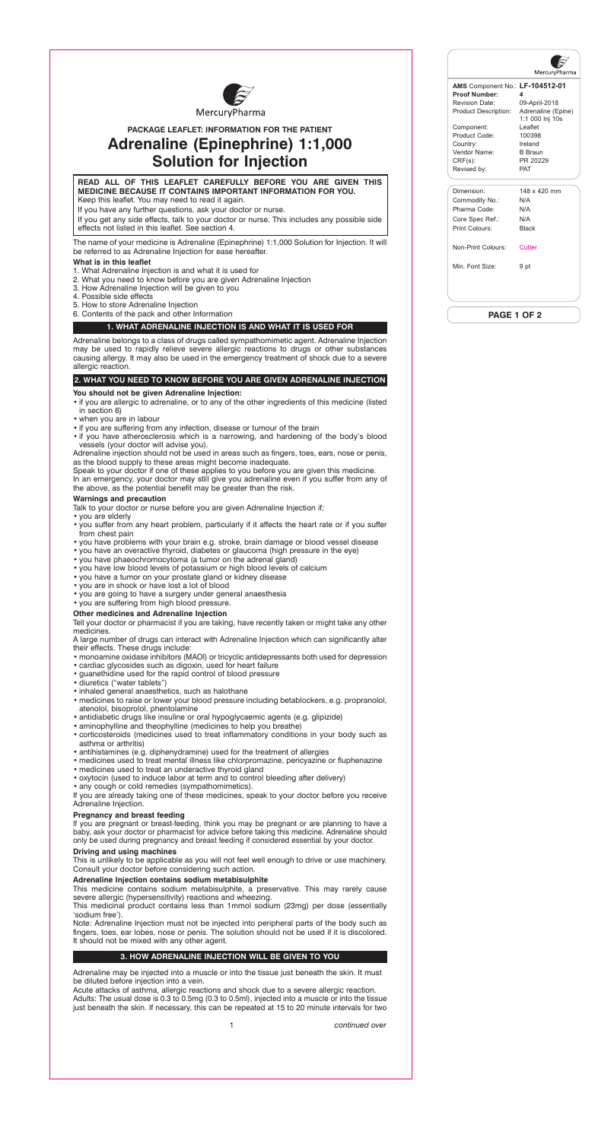#### **READ ALL OF THIS LEAFLET CAREFULLY BEFORE YOU ARE GIVEN THIS MEDICINE BECAUSE IT CONTAINS IMPORTANT INFORMATION FOR YOU.** Keep this leaflet. You may need to read it again.

If you have any further questions, ask your doctor or nurse.

If you get any side effects, talk to your doctor or nurse. This includes any possible side effects not listed in this leaflet. See section 4.

The name of your medicine is Adrenaline (Epinephrine) 1:1,000 Solution for Injection. It will be referred to as Adrenaline Injection for ease hereafter.

## **What is in this leaflet**

- 1. What Adrenaline Injection is and what it is used for
- 2. What you need to know before you are given Adrenaline Injection
- 3. How Adrenaline Injection will be given to you
- 4. Possible side effects
- 5. How to store Adrenaline Injection
- 6. Contents of the pack and other Information

## **1. WHAT ADRENALINE INJECTION IS AND WHAT IT IS USED FOR**

Adrenaline belongs to a class of drugs called sympathomimetic agent. Adrenaline Injection may be used to rapidly relieve severe allergic reactions to drugs or other substances causing allergy. It may also be used in the emergency treatment of shock due to a severe allergic reaction.

# **2. WHAT YOU NEED TO KNOW BEFORE YOU ARE GIVEN ADRENALINE INJECTION**

#### **You should not be given Adrenaline Injection:**

- if you are allergic to adrenaline, or to any of the other ingredients of this medicine (listed in section 6)
- when you are in labour
- if you are suffering from any infection, disease or tumour of the brain
- if you have atherosclerosis which is a narrowing, and hardening of the body's blood vessels (your doctor will advise you).

Adrenaline injection should not be used in areas such as fingers, toes, ears, nose or penis, as the blood supply to these areas might become inadequate.

Speak to your doctor if one of these applies to you before you are given this medicine.

In an emergency, your doctor may still give you adrenaline even if you suffer from any of the above, as the potential benefit may be greater than the risk.

#### **Warnings and precaution**

Talk to your doctor or nurse before you are given Adrenaline Injection if:

- you are elderly
- you suffer from any heart problem, particularly if it affects the heart rate or if you suffer from chest pain
- you have problems with your brain e.g. stroke, brain damage or blood vessel disease
- you have an overactive thyroid, diabetes or glaucoma (high pressure in the eye)
- you have phaeochromocytoma (a tumor on the adrenal gland)
- you have low blood levels of potassium or high blood levels of calcium
- you have a tumor on your prostate gland or kidney disease
- you are in shock or have lost a lot of blood
- you are going to have a surgery under general anaesthesia
- you are suffering from high blood pressure.

#### **Other medicines and Adrenaline Injection**

Tell your doctor or pharmacist if you are taking, have recently taken or might take any other medicines.

A large number of drugs can interact with Adrenaline Injection which can significantly alter their effects. These drugs include:

- monoamine oxidase inhibitors (MAOI) or tricyclic antidepressants both used for depression
- cardiac glycosides such as digoxin, used for heart failure
- guanethidine used for the rapid control of blood pressure
- diuretics ("water tablets")
- inhaled general anaesthetics, such as halothane
- medicines to raise or lower your blood pressure including betablockers, e.g. propranolol, atenolol, bisoprolol, phentolamine
- antidiabetic drugs like insuline or oral hypoglycaemic agents (e.g. glipizide)
- aminophylline and theophylline (medicines to help you breathe)
- corticosteroids (medicines used to treat inflammatory conditions in your body such as asthma or arthritis)
- antihistamines (e.g. diphenydramine) used for the treatment of allergies
- medicines used to treat mental illness like chlorpromazine, pericyazine or fluphenazine
- medicines used to treat an underactive thyroid gland
- oxytocin (used to induce labor at term and to control bleeding after delivery)
- any cough or cold remedies (sympathomimetics).

If you are already taking one of these medicines, speak to your doctor before you receive Adrenaline Injection.

# **Pregnancy and breast feeding**

If you are pregnant or breast-feeding, think you may be pregnant or are planning to have a baby, ask your doctor or pharmacist for advice before taking this medicine. Adrenaline should

only be used during pregnancy and breast feeding if considered essential by your doctor.

#### **Driving and using machines**

This is unlikely to be applicable as you will not feel well enough to drive or use machinery. Consult your doctor before considering such action.

#### **Adrenaline Injection contains sodium metabisulphite**

This medicine contains sodium metabisulphite, a preservative. This may rarely cause severe allergic (hypersensitivity) reactions and wheezing.

This medicinal product contains less than 1mmol sodium (23mg) per dose (essentially 'sodium free').

Note: Adrenaline Injection must not be injected into peripheral parts of the body such as fingers, toes, ear lobes, nose or penis. The solution should not be used if it is discolored. It should not be mixed with any other agent.

#### **3. HOW ADRENALINE INJECTION WILL BE GIVEN TO YOU**

Adrenaline may be injected into a muscle or into the tissue just beneath the skin. It must be diluted before injection into a vein.

Acute attacks of asthma, allergic reactions and shock due to a severe allergic reaction. Adults: The usual dose is 0.3 to 0.5mg (0.3 to 0.5ml), injected into a muscle or into the tissue just beneath the skin. If necessary, this can be repeated at 15 to 20 minute intervals for two



# **PACKAGE LEAFLET: INFORMATION FOR THE PATIENT Adrenaline (Epinephrine) 1:1,000 Solution for Injection**

1 *continued over*